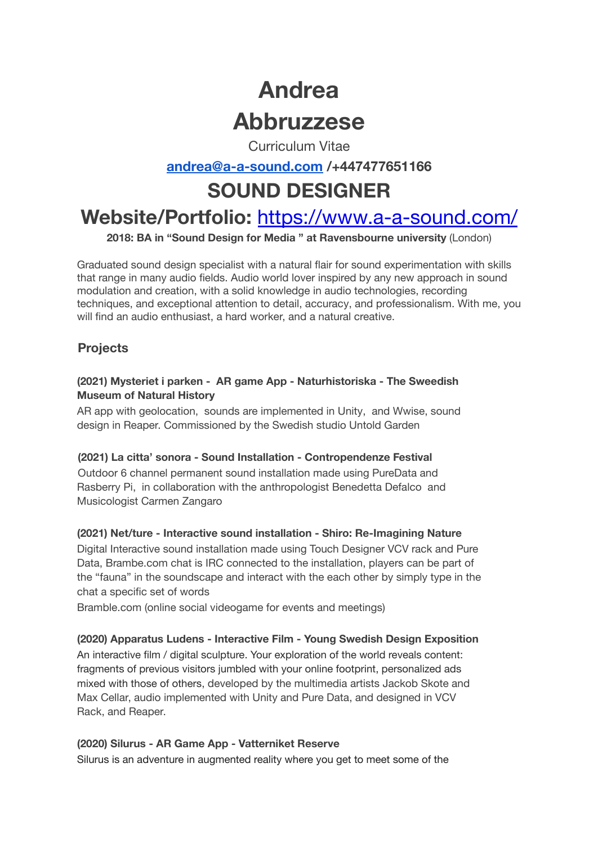# **Andrea Abbruzzese**

Curriculum Vitae

# **[andrea@a-a-sound.com](mailto:andrea@a-a-sound.com) /+447477651166**

# **SOUND DESIGNER**

# **Website/Portfolio:** https://www.a-a-sound.com/

**2018: BA in "Sound Design for Media " at Ravensbourne university** (London)

Graduated sound design specialist with a natural flair for sound experimentation with skills that range in many audio fields. Audio world lover inspired by any new approach in sound modulation and creation, with a solid knowledge in audio technologies, recording techniques, and exceptional attention to detail, accuracy, and professionalism. With me, you will find an audio enthusiast, a hard worker, and a natural creative.

## **Projects**

#### **(2021) Mysteriet i parken - AR game App - Naturhistoriska - The Sweedish Museum of Natural History**

AR app with geolocation, sounds are implemented in Unity, and Wwise, sound design in Reaper. Commissioned by the Swedish studio Untold Garden

#### **(2021) La citta' sonora - Sound Installation - Contropendenze Festival**

Outdoor 6 channel permanent sound installation made using PureData and Rasberry Pi, in collaboration with the anthropologist Benedetta Defalco and Musicologist Carmen Zangaro

#### **(2021) Net/ture - Interactive sound installation - Shiro: Re-Imagining Nature**

Digital Interactive sound installation made using Touch Designer VCV rack and Pure Data, Brambe.com chat is IRC connected to the installation, players can be part of the "fauna" in the soundscape and interact with the each other by simply type in the chat a specific set of words

Bramble.com (online social videogame for events and meetings)

#### **(2020) Apparatus Ludens - Interactive Film - Young Swedish Design Exposition**

An interactive film / digital sculpture. Your exploration of the world reveals content: fragments of previous visitors jumbled with your online footprint, personalized ads mixed with those of others, developed by the multimedia artists Jackob Skote and Max Cellar, audio implemented with Unity and Pure Data, and designed in VCV Rack, and Reaper.

#### **(2020) Silurus - AR Game App - Vatterniket Reserve**

Silurus is an adventure in augmented reality where you get to meet some of the